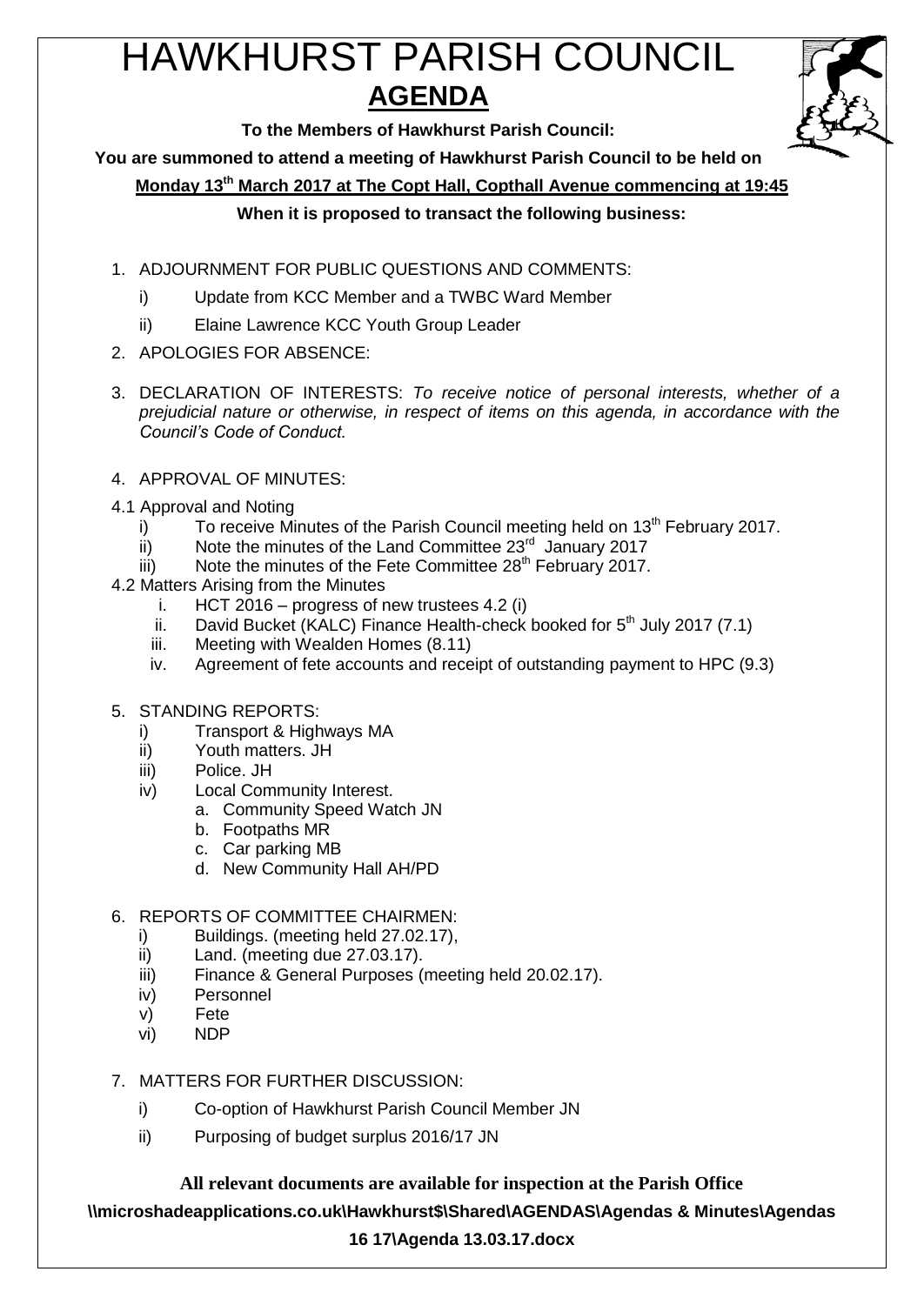# HAWKHURST PARISH COUNCIL **AGENDA**



**To the Members of Hawkhurst Parish Council:**

**You are summoned to attend a meeting of Hawkhurst Parish Council to be held on**

**Monday 13th March 2017 at The Copt Hall, Copthall Avenue commencing at 19:45**

# **When it is proposed to transact the following business:**

- 1. ADJOURNMENT FOR PUBLIC QUESTIONS AND COMMENTS:
	- i) Update from KCC Member and a TWBC Ward Member
	- ii) Elaine Lawrence KCC Youth Group Leader
- 2. APOLOGIES FOR ABSENCE:
- 3. DECLARATION OF INTERESTS: *To receive notice of personal interests, whether of a prejudicial nature or otherwise, in respect of items on this agenda, in accordance with the Council's Code of Conduct.*
- 4. APPROVAL OF MINUTES:
- 4.1 Approval and Noting
	- i) To receive Minutes of the Parish Council meeting held on  $13<sup>th</sup>$  February 2017.
	- $\overline{ii}$  Note the minutes of the Land Committee 23 $\overline{a}$  January 2017
	- iii) Note the minutes of the Fete Committee  $28<sup>th</sup>$  February 2017.
- 4.2 Matters Arising from the Minutes
	- i. HCT 2016 progress of new trustees 4.2 (i)
	- ii. David Bucket (KALC) Finance Health-check booked for  $5<sup>th</sup>$  July 2017 (7.1)
	- iii. Meeting with Wealden Homes (8.11)
	- iv. Agreement of fete accounts and receipt of outstanding payment to HPC (9.3)
- 5. STANDING REPORTS:
	- i) Transport & Highways MA
	- ii) Youth matters. JH
	- iii) Police. JH
	- iv) Local Community Interest.
		- a. Community Speed Watch JN
			- b. Footpaths MR
			- c. Car parking MB
			- d. New Community Hall AH/PD
- 6. REPORTS OF COMMITTEE CHAIRMEN:
	- i) Buildings. (meeting held 27.02.17),
	- ii) Land. (meeting due 27.03.17).
	- iii) Finance & General Purposes (meeting held 20.02.17).
	- iv) Personnel
	- v) Fete
	- vi) NDP
- 7. MATTERS FOR FURTHER DISCUSSION:
	- i) Co-option of Hawkhurst Parish Council Member JN
	- ii) Purposing of budget surplus 2016/17 JN

**All relevant documents are available for inspection at the Parish Office**

**\\microshadeapplications.co.uk\Hawkhurst\$\Shared\AGENDAS\Agendas & Minutes\Agendas** 

## **16 17\Agenda 13.03.17.docx**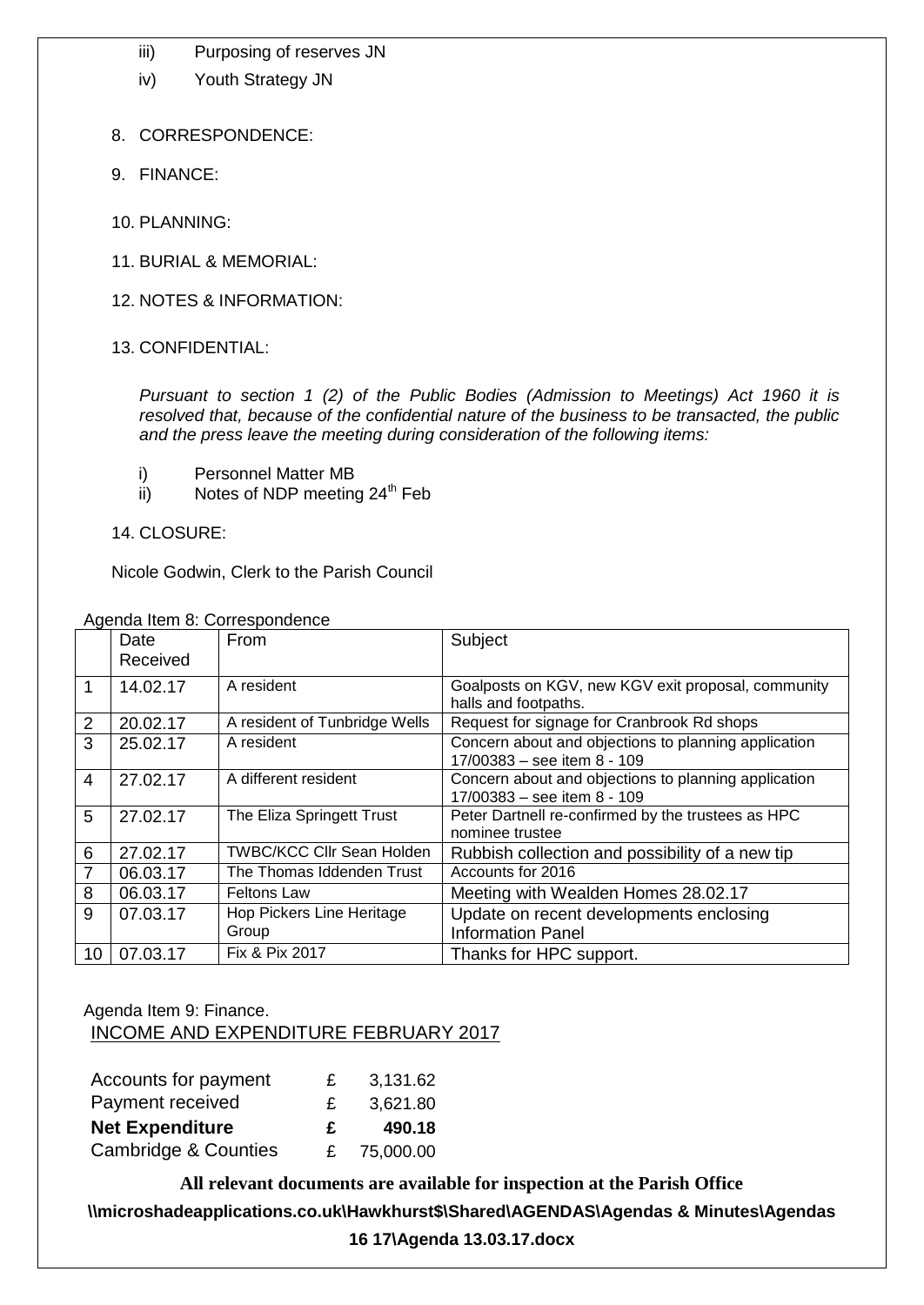- iii) Purposing of reserves JN
- iv) Youth Strategy JN
- 8. CORRESPONDENCE:
- 9. FINANCE:
- 10. PLANNING:
- 11. BURIAL & MEMORIAL:
- 12. NOTES & INFORMATION:
- 13. CONFIDENTIAL:

*Pursuant to section 1 (2) of the Public Bodies (Admission to Meetings) Act 1960 it is resolved that, because of the confidential nature of the business to be transacted, the public and the press leave the meeting during consideration of the following items:*

- i) Personnel Matter MB
- ii) Notes of NDP meeting  $24<sup>th</sup>$  Feb
- 14. CLOSURE:

Nicole Godwin, Clerk to the Parish Council

|                 | Date<br>Received | From                               | Subject                                                                             |
|-----------------|------------------|------------------------------------|-------------------------------------------------------------------------------------|
|                 | 14.02.17         | A resident                         | Goalposts on KGV, new KGV exit proposal, community<br>halls and footpaths.          |
| $\overline{2}$  | 20.02.17         | A resident of Tunbridge Wells      | Request for signage for Cranbrook Rd shops                                          |
| 3               | 25.02.17         | A resident                         | Concern about and objections to planning application<br>17/00383 - see item 8 - 109 |
| 4               | 27.02.17         | A different resident               | Concern about and objections to planning application<br>17/00383 - see item 8 - 109 |
| 5               | 27.02.17         | The Eliza Springett Trust          | Peter Dartnell re-confirmed by the trustees as HPC<br>nominee trustee               |
| 6               | 27.02.17         | <b>TWBC/KCC CIIr Sean Holden</b>   | Rubbish collection and possibility of a new tip                                     |
| $\overline{7}$  | 06.03.17         | The Thomas Iddenden Trust          | Accounts for 2016                                                                   |
| 8               | 06.03.17         | <b>Feltons Law</b>                 | Meeting with Wealden Homes 28.02.17                                                 |
| 9               | 07.03.17         | Hop Pickers Line Heritage<br>Group | Update on recent developments enclosing<br><b>Information Panel</b>                 |
| 10 <sup>°</sup> | 07.03.17         | Fix & Pix 2017                     | Thanks for HPC support.                                                             |

Agenda Item 8: Correspondence

# Agenda Item 9: Finance. INCOME AND EXPENDITURE FEBRUARY 2017

| Accounts for payment   | £ | 3,131.62 |
|------------------------|---|----------|
| Payment received       | £ | 3,621.80 |
|                        |   |          |
| <b>Net Expenditure</b> | £ | 490.18   |

**All relevant documents are available for inspection at the Parish Office**

**\\microshadeapplications.co.uk\Hawkhurst\$\Shared\AGENDAS\Agendas & Minutes\Agendas** 

**16 17\Agenda 13.03.17.docx**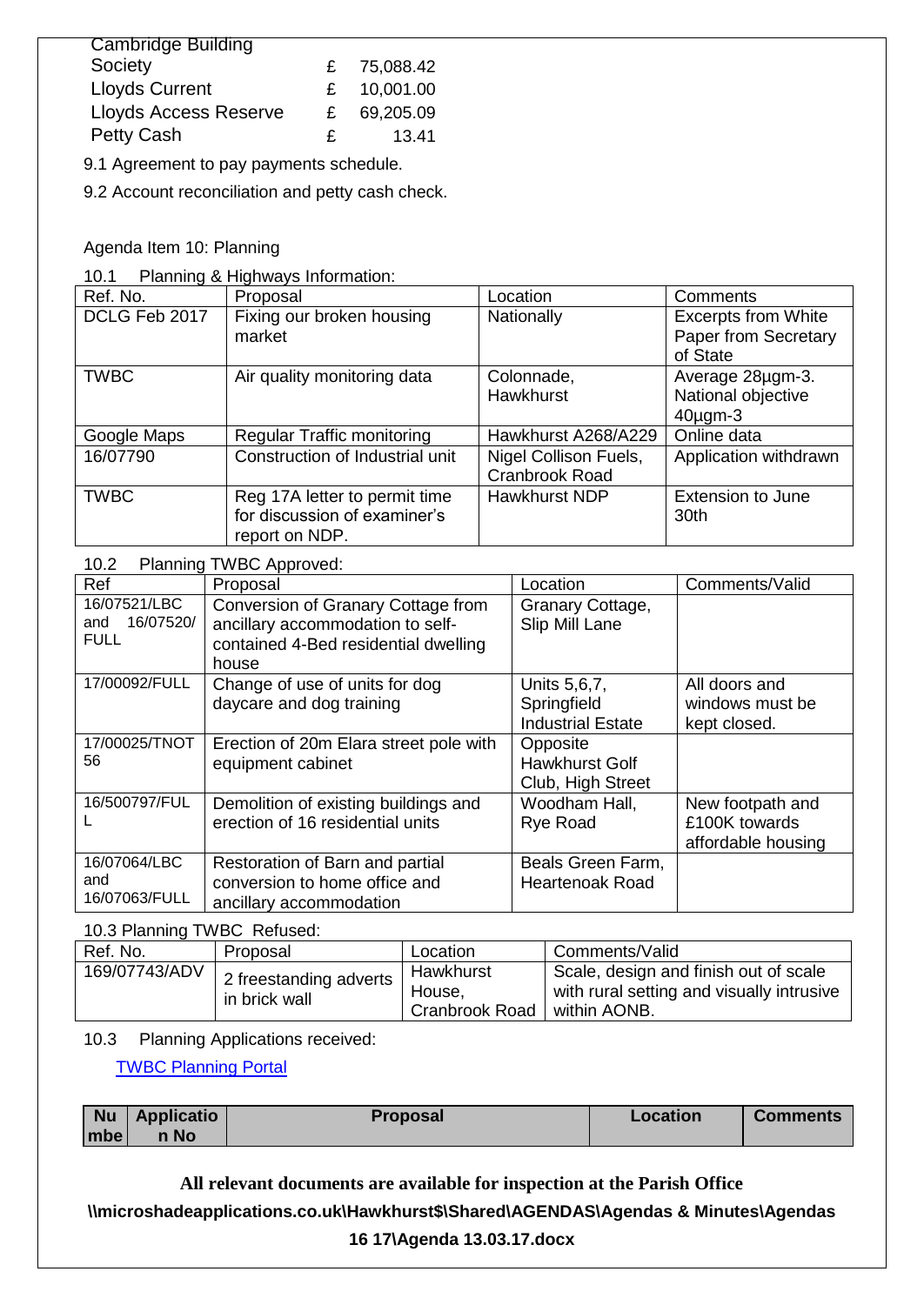| <b>Cambridge Building</b>    |    |           |
|------------------------------|----|-----------|
| Society                      | £  | 75,088.42 |
| <b>Lloyds Current</b>        | £  | 10,001.00 |
| <b>Lloyds Access Reserve</b> | £  | 69,205.09 |
| Petty Cash                   | £. | 13.41     |

9.1 Agreement to pay payments schedule.

9.2 Account reconciliation and petty cash check.

Agenda Item 10: Planning

10.1 Planning & Highways Information:

| Ref. No.      | Proposal                          | Location              | Comments                   |
|---------------|-----------------------------------|-----------------------|----------------------------|
| DCLG Feb 2017 | Fixing our broken housing         | Nationally            | <b>Excerpts from White</b> |
|               | market                            |                       | Paper from Secretary       |
|               |                                   |                       | of State                   |
| <b>TWBC</b>   | Air quality monitoring data       | Colonnade,            | Average 28µgm-3.           |
|               |                                   | Hawkhurst             | National objective         |
|               |                                   |                       | $40\mu$ gm-3               |
| Google Maps   | <b>Regular Traffic monitoring</b> | Hawkhurst A268/A229   | Online data                |
| 16/07790      | Construction of Industrial unit   | Nigel Collison Fuels, | Application withdrawn      |
|               |                                   | Cranbrook Road        |                            |
| <b>TWBC</b>   | Reg 17A letter to permit time     | <b>Hawkhurst NDP</b>  | <b>Extension to June</b>   |
|               | for discussion of examiner's      |                       | 30th                       |
|               | report on NDP.                    |                       |                            |

### 10.2 Planning TWBC Approved:

| Ref                                             | Proposal                                                                                                                | Location                                                | Comments/Valid                                          |
|-------------------------------------------------|-------------------------------------------------------------------------------------------------------------------------|---------------------------------------------------------|---------------------------------------------------------|
| 16/07521/LBC<br>16/07520/<br>and<br><b>FULL</b> | Conversion of Granary Cottage from<br>ancillary accommodation to self-<br>contained 4-Bed residential dwelling<br>house | Granary Cottage,<br>Slip Mill Lane                      |                                                         |
| 17/00092/FULL                                   | Change of use of units for dog<br>daycare and dog training                                                              | Units 5,6,7,<br>Springfield<br><b>Industrial Estate</b> | All doors and<br>windows must be<br>kept closed.        |
| 17/00025/TNOT<br>56                             | Erection of 20m Elara street pole with<br>equipment cabinet                                                             | Opposite<br><b>Hawkhurst Golf</b><br>Club, High Street  |                                                         |
| 16/500797/FUL                                   | Demolition of existing buildings and<br>erection of 16 residential units                                                | Woodham Hall,<br>Rye Road                               | New footpath and<br>£100K towards<br>affordable housing |
| 16/07064/LBC<br>and<br>16/07063/FULL            | Restoration of Barn and partial<br>conversion to home office and<br>ancillary accommodation                             | Beals Green Farm,<br><b>Heartenoak Road</b>             |                                                         |

10.3 Planning TWBC Refused:

| Ref. No.      | Proposal                                              | Location                              | Comments/Valid                                                                                     |
|---------------|-------------------------------------------------------|---------------------------------------|----------------------------------------------------------------------------------------------------|
| 169/07743/ADV | 2 freestanding adverts $\frac{1}{2}$<br>in brick wall | Hawkhurst<br>House,<br>Cranbrook Road | Scale, design and finish out of scale<br>with rural setting and visually intrusive<br>within AONB. |

#### 10.3 Planning Applications received:

[TWBC Planning Portal](http://www.tunbridgewells.gov.uk/residents/planning/planning-application-search)

|         | $\vert$ Nu $\vert$ Applicatio | <b>Proposal</b> | Location | <b>Comments</b> |
|---------|-------------------------------|-----------------|----------|-----------------|
| Imbe l' | n No                          |                 |          |                 |

**All relevant documents are available for inspection at the Parish Office**

**\\microshadeapplications.co.uk\Hawkhurst\$\Shared\AGENDAS\Agendas & Minutes\Agendas** 

# **16 17\Agenda 13.03.17.docx**